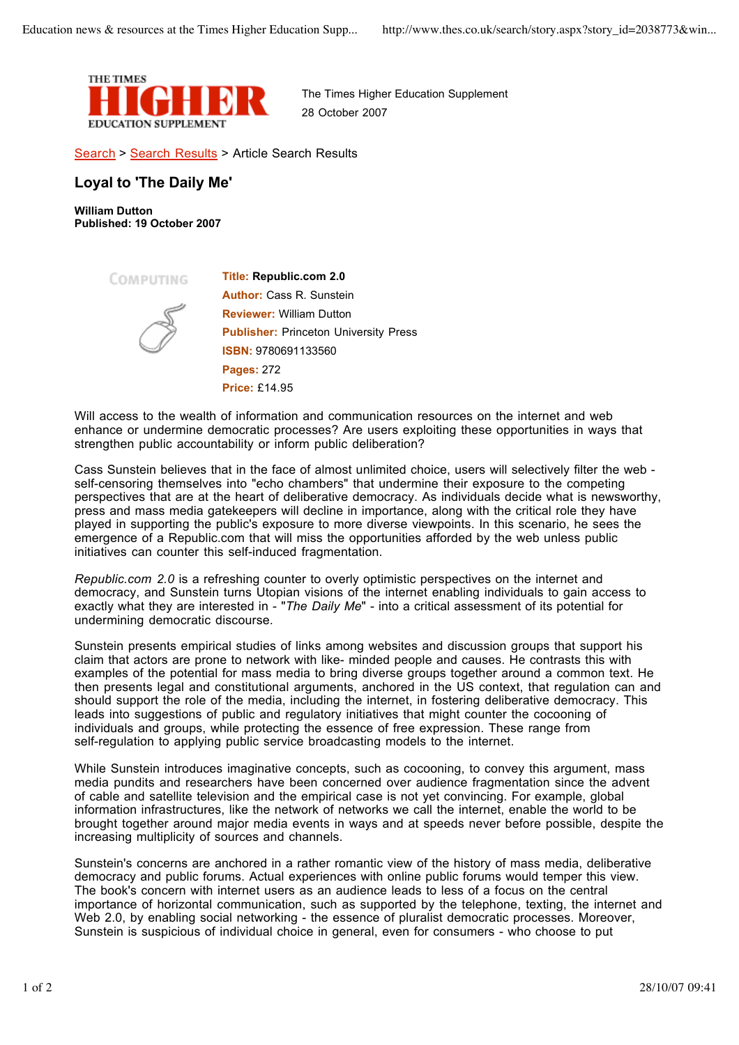

The Times Higher Education Supplement 28 October 2007

Search > Search Results > Article Search Results

## **Loyal to 'The Daily Me'**

**William Dutton Published: 19 October 2007**

COMPUTING



**Title: Republic.com 2.0 Author:** Cass R. Sunstein **Reviewer:** William Dutton **Publisher:** Princeton University Press **ISBN:** 9780691133560 **Pages:** 272 **Price:** £14.95

Will access to the wealth of information and communication resources on the internet and web enhance or undermine democratic processes? Are users exploiting these opportunities in ways that strengthen public accountability or inform public deliberation?

Cass Sunstein believes that in the face of almost unlimited choice, users will selectively filter the web self-censoring themselves into "echo chambers" that undermine their exposure to the competing perspectives that are at the heart of deliberative democracy. As individuals decide what is newsworthy, press and mass media gatekeepers will decline in importance, along with the critical role they have played in supporting the public's exposure to more diverse viewpoints. In this scenario, he sees the emergence of a Republic.com that will miss the opportunities afforded by the web unless public initiatives can counter this self-induced fragmentation.

*Republic.com 2.0* is a refreshing counter to overly optimistic perspectives on the internet and democracy, and Sunstein turns Utopian visions of the internet enabling individuals to gain access to exactly what they are interested in - "*The Daily Me*" - into a critical assessment of its potential for undermining democratic discourse.

Sunstein presents empirical studies of links among websites and discussion groups that support his claim that actors are prone to network with like- minded people and causes. He contrasts this with examples of the potential for mass media to bring diverse groups together around a common text. He then presents legal and constitutional arguments, anchored in the US context, that regulation can and should support the role of the media, including the internet, in fostering deliberative democracy. This leads into suggestions of public and regulatory initiatives that might counter the cocooning of individuals and groups, while protecting the essence of free expression. These range from self-regulation to applying public service broadcasting models to the internet.

While Sunstein introduces imaginative concepts, such as cocooning, to convey this argument, mass media pundits and researchers have been concerned over audience fragmentation since the advent of cable and satellite television and the empirical case is not yet convincing. For example, global information infrastructures, like the network of networks we call the internet, enable the world to be brought together around major media events in ways and at speeds never before possible, despite the increasing multiplicity of sources and channels.

Sunstein's concerns are anchored in a rather romantic view of the history of mass media, deliberative democracy and public forums. Actual experiences with online public forums would temper this view. The book's concern with internet users as an audience leads to less of a focus on the central importance of horizontal communication, such as supported by the telephone, texting, the internet and Web 2.0, by enabling social networking - the essence of pluralist democratic processes. Moreover, Sunstein is suspicious of individual choice in general, even for consumers - who choose to put